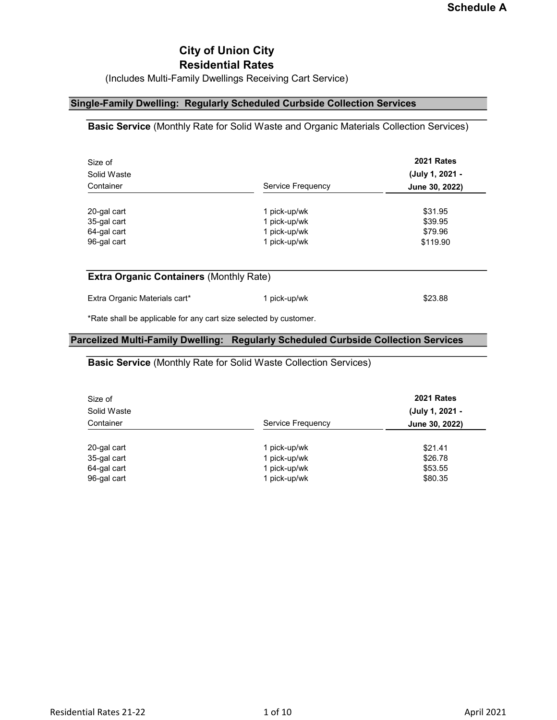## City of Union City Residential Rates

(Includes Multi-Family Dwellings Receiving Cart Service)

### Single-Family Dwelling: Regularly Scheduled Curbside Collection Services

### Basic Service (Monthly Rate for Solid Waste and Organic Materials Collection Services)

| Size of<br>Solid Waste |                   | <b>2021 Rates</b><br>(July 1, 2021 - |
|------------------------|-------------------|--------------------------------------|
| Container              | Service Frequency | June 30, 2022)                       |
| 20-gal cart            | 1 pick-up/wk      | \$31.95                              |
| 35-gal cart            | 1 pick-up/wk      | \$39.95                              |
| 64-gal cart            | 1 pick-up/wk      | \$79.96                              |
| 96-gal cart            | 1 pick-up/wk      | \$119.90                             |
|                        |                   |                                      |
|                        |                   |                                      |

### Extra Organic Containers (Monthly Rate)

| Extra Organic Materials cart* | 1 pick-up/wk | \$23.88 |
|-------------------------------|--------------|---------|
|-------------------------------|--------------|---------|

\*Rate shall be applicable for any cart size selected by customer.

### Parcelized Multi-Family Dwelling: Regularly Scheduled Curbside Collection Services

### Basic Service (Monthly Rate for Solid Waste Collection Services)

| Size of<br>Solid Waste<br>Container | Service Frequency | <b>2021 Rates</b><br>(July 1, 2021 -<br>June 30, 2022) |
|-------------------------------------|-------------------|--------------------------------------------------------|
| 20-gal cart                         | 1 pick-up/wk      | \$21.41                                                |
| 35-gal cart                         | 1 pick-up/wk      | \$26.78                                                |
| 64-gal cart                         | 1 pick-up/wk      | \$53.55                                                |
| 96-gal cart                         | 1 pick-up/wk      | \$80.35                                                |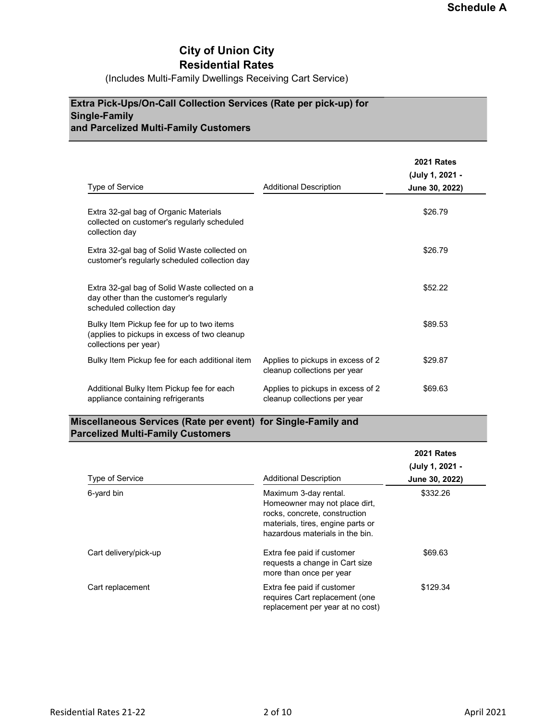## City of Union City Residential Rates

(Includes Multi-Family Dwellings Receiving Cart Service)

## Extra Pick-Ups/On-Call Collection Services (Rate per pick-up) for Single-Family and Parcelized Multi-Family Customers

|                                                                                                                       |                                                                   | <b>2021 Rates</b> |
|-----------------------------------------------------------------------------------------------------------------------|-------------------------------------------------------------------|-------------------|
|                                                                                                                       |                                                                   | (July 1, 2021 -   |
| Type of Service                                                                                                       | <b>Additional Description</b>                                     | June 30, 2022)    |
| Extra 32-gal bag of Organic Materials<br>collected on customer's regularly scheduled<br>collection day                |                                                                   | \$26.79           |
| Extra 32-gal bag of Solid Waste collected on<br>customer's regularly scheduled collection day                         |                                                                   | \$26.79           |
| Extra 32-gal bag of Solid Waste collected on a<br>day other than the customer's regularly<br>scheduled collection day |                                                                   | \$52.22           |
| Bulky Item Pickup fee for up to two items<br>(applies to pickups in excess of two cleanup<br>collections per year)    |                                                                   | \$89.53           |
| Bulky Item Pickup fee for each additional item                                                                        | Applies to pickups in excess of 2<br>cleanup collections per year | \$29.87           |
| Additional Bulky Item Pickup fee for each<br>appliance containing refrigerants                                        | Applies to pickups in excess of 2<br>cleanup collections per year | \$69.63           |

## Miscellaneous Services (Rate per event) for Single-Family and Parcelized Multi-Family Customers

| Type of Service       | <b>Additional Description</b>                                                                                                                                   | <b>2021 Rates</b><br>(July 1, 2021 -<br>June 30, 2022) |
|-----------------------|-----------------------------------------------------------------------------------------------------------------------------------------------------------------|--------------------------------------------------------|
| 6-yard bin            | Maximum 3-day rental.<br>Homeowner may not place dirt,<br>rocks, concrete, construction<br>materials, tires, engine parts or<br>hazardous materials in the bin. | \$332.26                                               |
| Cart delivery/pick-up | Extra fee paid if customer<br>requests a change in Cart size<br>more than once per year                                                                         | \$69.63                                                |
| Cart replacement      | Extra fee paid if customer<br>requires Cart replacement (one<br>replacement per year at no cost)                                                                | \$129.34                                               |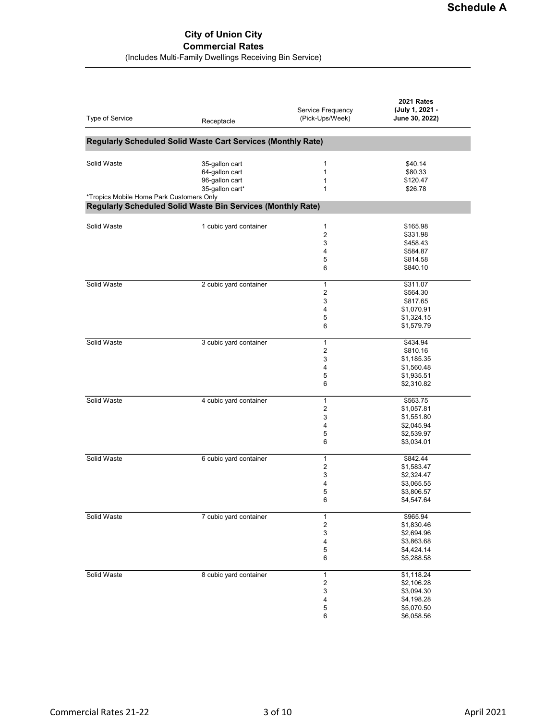### City of Union City Commercial Rates (Includes Multi-Family Dwellings Receiving Bin Service)

| Type of Service                          | Receptacle                                                   | Service Frequency<br>(Pick-Ups/Week) | 2021 Rates<br>(July 1, 2021 -<br>June 30, 2022) |
|------------------------------------------|--------------------------------------------------------------|--------------------------------------|-------------------------------------------------|
|                                          | Regularly Scheduled Solid Waste Cart Services (Monthly Rate) |                                      |                                                 |
|                                          |                                                              |                                      |                                                 |
| Solid Waste                              | 35-gallon cart                                               | 1                                    | \$40.14                                         |
|                                          | 64-gallon cart                                               | 1                                    | \$80.33                                         |
|                                          | 96-gallon cart                                               | 1                                    | \$120.47                                        |
|                                          | 35-gallon cart*                                              | 1                                    | \$26.78                                         |
| *Tropics Mobile Home Park Customers Only |                                                              |                                      |                                                 |
|                                          | Regularly Scheduled Solid Waste Bin Services (Monthly Rate)  |                                      |                                                 |
| Solid Waste                              | 1 cubic yard container                                       | $\mathbf{1}$                         | \$165.98                                        |
|                                          |                                                              | 2                                    | \$331.98                                        |
|                                          |                                                              | 3                                    | \$458.43                                        |
|                                          |                                                              | 4                                    | \$584.87                                        |
|                                          |                                                              | 5                                    | \$814.58                                        |
|                                          |                                                              | 6                                    | \$840.10                                        |
| Solid Waste                              | 2 cubic yard container                                       | $\mathbf{1}$                         | \$311.07                                        |
|                                          |                                                              | 2                                    | \$564.30                                        |
|                                          |                                                              | 3                                    | \$817.65                                        |
|                                          |                                                              | 4                                    | \$1,070.91                                      |
|                                          |                                                              | 5                                    | \$1,324.15                                      |
|                                          |                                                              | 6                                    | \$1,579.79                                      |
| Solid Waste                              | 3 cubic yard container                                       | $\mathbf{1}$                         | \$434.94                                        |
|                                          |                                                              | 2                                    | \$810.16                                        |
|                                          |                                                              | 3                                    | \$1,185.35                                      |
|                                          |                                                              | 4                                    | \$1,560.48                                      |
|                                          |                                                              | 5                                    | \$1,935.51                                      |
|                                          |                                                              | 6                                    | \$2,310.82                                      |
|                                          |                                                              |                                      |                                                 |
| Solid Waste                              | 4 cubic yard container                                       | $\mathbf{1}$                         | \$563.75                                        |
|                                          |                                                              | $\overline{c}$                       | \$1,057.81                                      |
|                                          |                                                              | 3                                    | \$1,551.80                                      |
|                                          |                                                              | 4                                    | \$2,045.94                                      |
|                                          |                                                              | 5                                    | \$2,539.97                                      |
|                                          |                                                              | 6                                    | \$3,034.01                                      |
| Solid Waste                              | 6 cubic yard container                                       | 1                                    | \$842.44                                        |
|                                          |                                                              | $\overline{c}$                       | \$1,583.47                                      |
|                                          |                                                              | 3                                    | \$2,324.47                                      |
|                                          |                                                              | 4                                    | \$3,065.55                                      |
|                                          |                                                              | 5                                    | \$3,806.57                                      |
|                                          |                                                              | 6                                    | \$4,547.64                                      |
| Solid Waste                              | 7 cubic yard container                                       | 1                                    | \$965.94                                        |
|                                          |                                                              | $\overline{\mathbf{c}}$              | \$1,830.46                                      |
|                                          |                                                              | 3                                    | \$2,694.96                                      |
|                                          |                                                              | 4                                    | \$3,863.68                                      |
|                                          |                                                              | 5                                    | \$4,424.14                                      |
|                                          |                                                              | 6                                    | \$5,288.58                                      |
| Solid Waste                              | 8 cubic yard container                                       | $\mathbf{1}$                         | \$1,118.24                                      |
|                                          |                                                              | $\sqrt{2}$                           | \$2,106.28                                      |
|                                          |                                                              | 3                                    | \$3,094.30                                      |
|                                          |                                                              | 4                                    | \$4,198.28                                      |
|                                          |                                                              | 5                                    | \$5,070.50                                      |
|                                          |                                                              | 6                                    | \$6,058.56                                      |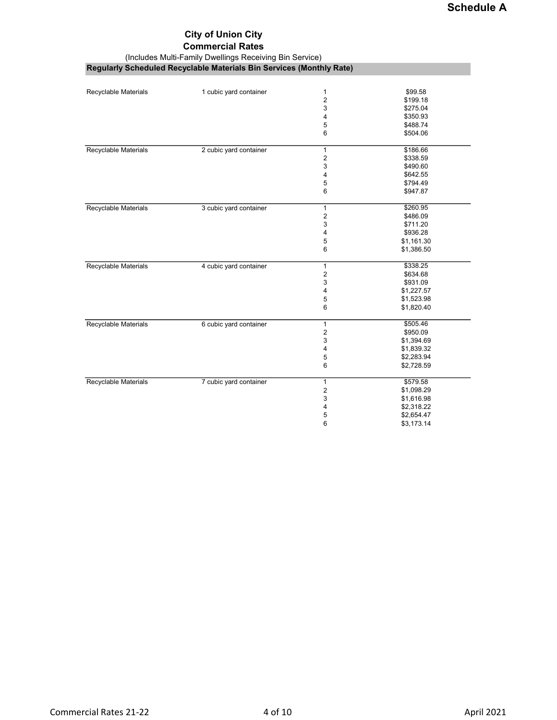## Commercial Rates

(Includes Multi-Family Dwellings Receiving Bin Service)

Regularly Scheduled Recyclable Materials Bin Services (Monthly Rate)

| Recyclable Materials | 1 cubic yard container | 1                       | \$99.58    |
|----------------------|------------------------|-------------------------|------------|
|                      |                        | $\overline{2}$          | \$199.18   |
|                      |                        | 3                       | \$275.04   |
|                      |                        | 4                       | \$350.93   |
|                      |                        | 5                       | \$488.74   |
|                      |                        | 6                       | \$504.06   |
|                      |                        |                         |            |
| Recyclable Materials | 2 cubic yard container | $\mathbf{1}$            | \$186.66   |
|                      |                        | $\sqrt{2}$              | \$338.59   |
|                      |                        | 3                       | \$490.60   |
|                      |                        | 4                       | \$642.55   |
|                      |                        | 5                       | \$794.49   |
|                      |                        | 6                       | \$947.87   |
| Recyclable Materials | 3 cubic yard container | $\mathbf{1}$            | \$260.95   |
|                      |                        | 2                       | \$486.09   |
|                      |                        | 3                       | \$711.20   |
|                      |                        | 4                       | \$936.28   |
|                      |                        | 5                       | \$1,161.30 |
|                      |                        | 6                       | \$1,386.50 |
| Recyclable Materials | 4 cubic yard container | $\mathbf{1}$            | \$338.25   |
|                      |                        | 2                       | \$634.68   |
|                      |                        | 3                       | \$931.09   |
|                      |                        | 4                       | \$1,227.57 |
|                      |                        | 5                       | \$1,523.98 |
|                      |                        | 6                       | \$1,820.40 |
| Recyclable Materials | 6 cubic yard container | $\mathbf{1}$            | \$505.46   |
|                      |                        | $\overline{\mathbf{c}}$ | \$950.09   |
|                      |                        | 3                       | \$1,394.69 |
|                      |                        | 4                       | \$1,839.32 |
|                      |                        | 5                       | \$2,283.94 |
|                      |                        | 6                       | \$2,728.59 |
|                      |                        |                         |            |
| Recyclable Materials | 7 cubic yard container | $\mathbf{1}$            | \$579.58   |
|                      |                        | 2                       | \$1,098.29 |
|                      |                        | 3                       | \$1,616.98 |
|                      |                        | 4                       | \$2,318.22 |
|                      |                        | 5                       | \$2,654.47 |
|                      |                        | 6                       | \$3,173.14 |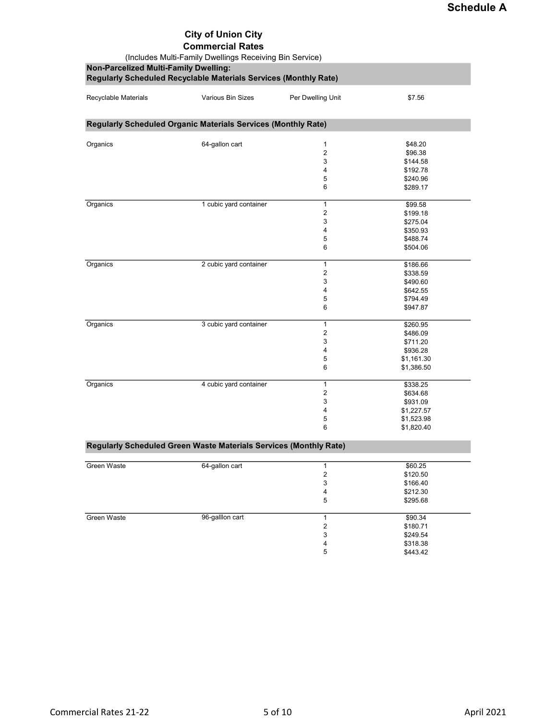Commercial Rates

(Includes Multi-Family Dwellings Receiving Bin Service)

Non-Parcelized Multi-Family Dwelling:

|                      | Regularly Scheduled Recyclable Materials Services (Monthly Rate)  |                   |                          |
|----------------------|-------------------------------------------------------------------|-------------------|--------------------------|
| Recyclable Materials | <b>Various Bin Sizes</b>                                          | Per Dwelling Unit | \$7.56                   |
|                      | Regularly Scheduled Organic Materials Services (Monthly Rate)     |                   |                          |
| Organics             | 64-gallon cart                                                    | $\mathbf{1}$      | \$48.20                  |
|                      |                                                                   | $\overline{c}$    | \$96.38                  |
|                      |                                                                   | 3                 | \$144.58                 |
|                      |                                                                   | 4                 | \$192.78                 |
|                      |                                                                   | 5                 | \$240.96                 |
|                      |                                                                   | 6                 | \$289.17                 |
| Organics             | 1 cubic yard container                                            | 1                 | \$99.58                  |
|                      |                                                                   | 2                 | \$199.18                 |
|                      |                                                                   | 3                 | \$275.04                 |
|                      |                                                                   | 4                 | \$350.93                 |
|                      |                                                                   | 5                 | \$488.74                 |
|                      |                                                                   | 6                 | \$504.06                 |
| Organics             | 2 cubic yard container                                            | 1                 | \$186.66                 |
|                      |                                                                   | 2                 | \$338.59                 |
|                      |                                                                   | 3                 | \$490.60                 |
|                      |                                                                   | 4                 | \$642.55                 |
|                      |                                                                   | 5                 | \$794.49                 |
|                      |                                                                   | 6                 | \$947.87                 |
| Organics             | 3 cubic yard container                                            | 1                 | \$260.95                 |
|                      |                                                                   | 2                 | \$486.09                 |
|                      |                                                                   | 3                 | \$711.20                 |
|                      |                                                                   | 4                 | \$936.28                 |
|                      |                                                                   | 5                 | \$1,161.30               |
|                      |                                                                   | 6                 | \$1,386.50               |
| Organics             | 4 cubic yard container                                            | 1                 | \$338.25                 |
|                      |                                                                   | 2                 | \$634.68                 |
|                      |                                                                   | 3                 | \$931.09                 |
|                      |                                                                   | 4                 | \$1,227.57               |
|                      |                                                                   | 5<br>6            | \$1,523.98<br>\$1,820.40 |
|                      | Regularly Scheduled Green Waste Materials Services (Monthly Rate) |                   |                          |
|                      |                                                                   |                   |                          |
| Green Waste          | 64-gallon cart                                                    | $\mathbf{1}$      | \$60.25                  |
|                      |                                                                   | $\overline{c}$    | \$120.50                 |
|                      |                                                                   | 3                 | \$166.40                 |
|                      |                                                                   | 4                 | \$212.30                 |
|                      |                                                                   | 5                 | \$295.68                 |
| Green Waste          | 96-galllon cart                                                   | $\mathbf{1}$      | \$90.34                  |
|                      |                                                                   | $\sqrt{2}$        | \$180.71                 |
|                      |                                                                   | 3                 | \$249.54                 |
|                      |                                                                   | 4                 | \$318.38                 |
|                      |                                                                   | 5                 | \$443.42                 |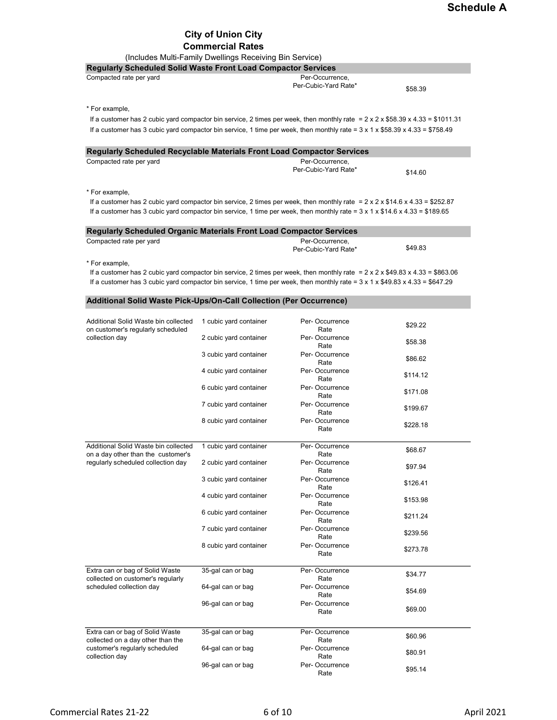### City of Union City Commercial Rates

(Includes Multi-Family Dwellings Receiving Bin Service)

| Regularly Scheduled Solid Waste Front Load Compactor Services                                                                                 | $(11010000 \text{ m}00000)$ and $(110000000)$ and $(10000000)$ |                        |          |
|-----------------------------------------------------------------------------------------------------------------------------------------------|----------------------------------------------------------------|------------------------|----------|
| Compacted rate per yard                                                                                                                       |                                                                | Per-Occurrence,        |          |
|                                                                                                                                               |                                                                | Per-Cubic-Yard Rate*   | \$58.39  |
|                                                                                                                                               |                                                                |                        |          |
| * For example,                                                                                                                                |                                                                |                        |          |
| If a customer has 2 cubic yard compactor bin service, 2 times per week, then monthly rate = $2 \times 2 \times $58.39 \times 4.33 = $1011.31$ |                                                                |                        |          |
| If a customer has 3 cubic yard compactor bin service, 1 time per week, then monthly rate = $3 \times 1 \times $58.39 \times 4.33 = $758.49$   |                                                                |                        |          |
| Regularly Scheduled Recyclable Materials Front Load Compactor Services                                                                        |                                                                |                        |          |
| Compacted rate per yard                                                                                                                       |                                                                | Per-Occurrence,        |          |
|                                                                                                                                               |                                                                | Per-Cubic-Yard Rate*   | \$14.60  |
|                                                                                                                                               |                                                                |                        |          |
| * For example,                                                                                                                                |                                                                |                        |          |
| If a customer has 2 cubic yard compactor bin service, 2 times per week, then monthly rate = $2 \times 2 \times $14.6 \times 4.33 = $252.87$   |                                                                |                        |          |
| If a customer has 3 cubic yard compactor bin service, 1 time per week, then monthly rate = $3 \times 1 \times $14.6 \times 4.33 = $189.65$    |                                                                |                        |          |
| Regularly Scheduled Organic Materials Front Load Compactor Services                                                                           |                                                                |                        |          |
| Compacted rate per yard                                                                                                                       |                                                                | Per-Occurrence.        |          |
|                                                                                                                                               |                                                                | Per-Cubic-Yard Rate*   | \$49.83  |
| * For example,                                                                                                                                |                                                                |                        |          |
| If a customer has 2 cubic yard compactor bin service, 2 times per week, then monthly rate = $2 \times 2 \times $49.83 \times 4.33 = $863.06$  |                                                                |                        |          |
| If a customer has 3 cubic yard compactor bin service, 1 time per week, then monthly rate = $3 \times 1 \times $49.83 \times 4.33 = $647.29$   |                                                                |                        |          |
|                                                                                                                                               |                                                                |                        |          |
| Additional Solid Waste Pick-Ups/On-Call Collection (Per Occurrence)                                                                           |                                                                |                        |          |
| Additional Solid Waste bin collected                                                                                                          | 1 cubic yard container                                         | Per-Occurrence         |          |
| on customer's regularly scheduled                                                                                                             |                                                                | Rate                   | \$29.22  |
| collection day                                                                                                                                | 2 cubic yard container                                         | Per-Occurrence         | \$58.38  |
|                                                                                                                                               | 3 cubic yard container                                         | Rate<br>Per-Occurrence |          |
|                                                                                                                                               |                                                                | Rate                   | \$86.62  |
|                                                                                                                                               | 4 cubic yard container                                         | Per-Occurrence         | \$114.12 |
|                                                                                                                                               |                                                                | Rate<br>Per-Occurrence |          |
|                                                                                                                                               | 6 cubic yard container                                         | Rate                   | \$171.08 |
|                                                                                                                                               | 7 cubic yard container                                         | Per-Occurrence         | \$199.67 |
|                                                                                                                                               | 8 cubic yard container                                         | Rate<br>Per-Occurrence |          |
|                                                                                                                                               |                                                                | Rate                   | \$228.18 |
|                                                                                                                                               |                                                                |                        |          |
| Additional Solid Waste bin collected                                                                                                          | 1 cubic yard container                                         | Per-Occurrence<br>Rate | \$68.67  |
| on a day other than the customer's<br>regularly scheduled collection day                                                                      | 2 cubic yard container                                         | Per-Occurrence         |          |
|                                                                                                                                               |                                                                | Rate                   | \$97.94  |
|                                                                                                                                               | 3 cubic yard container                                         | Per-Occurrence<br>Rate | \$126.41 |
|                                                                                                                                               | 4 cubic yard container                                         | Per-Occurrence         |          |
|                                                                                                                                               |                                                                | Rate                   | \$153.98 |
|                                                                                                                                               | 6 cubic yard container                                         | Per-Occurrence<br>Rate | \$211.24 |
|                                                                                                                                               | 7 cubic yard container                                         | Per-Occurrence         |          |
|                                                                                                                                               |                                                                | Rate                   | \$239.56 |
|                                                                                                                                               | 8 cubic yard container                                         | Per-Occurrence<br>Rate | \$273.78 |
|                                                                                                                                               |                                                                |                        |          |
| Extra can or bag of Solid Waste                                                                                                               | 35-gal can or bag                                              | Per-Occurrence         | \$34.77  |
| collected on customer's regularly<br>scheduled collection day                                                                                 | 64-gal can or bag                                              | Rate<br>Per-Occurrence |          |
|                                                                                                                                               |                                                                | Rate                   | \$54.69  |
|                                                                                                                                               | 96-gal can or bag                                              | Per-Occurrence         |          |
|                                                                                                                                               |                                                                | Rate                   | \$69.00  |
| Extra can or bag of Solid Waste                                                                                                               | 35-gal can or bag                                              | Per-Occurrence         |          |
| collected on a day other than the                                                                                                             |                                                                | Rate                   | \$60.96  |
| customer's regularly scheduled                                                                                                                | 64-gal can or bag                                              | Per-Occurrence         | \$80.91  |
| collection day                                                                                                                                |                                                                | Rate                   |          |

96-gal can or bag Per- Occurrence<br>Rate

 $$95.14$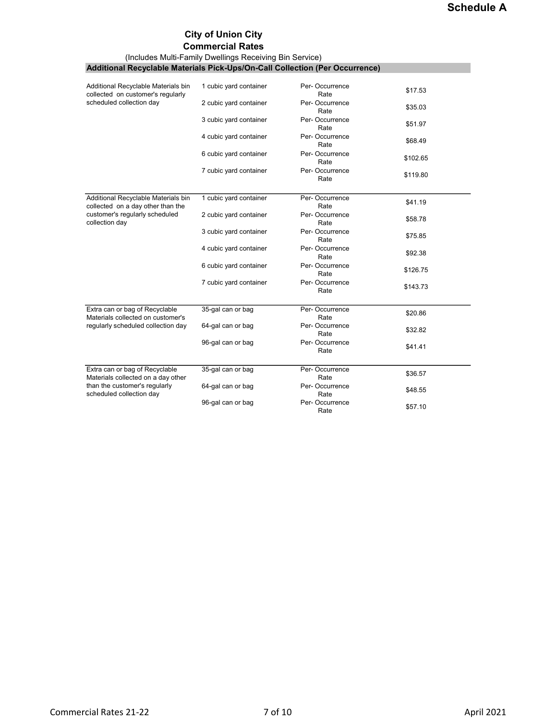# Commercial Rates

|                                                                              | (Includes Multi-Family Dwellings Receiving Bin Service) |                        |          |
|------------------------------------------------------------------------------|---------------------------------------------------------|------------------------|----------|
| Additional Recyclable Materials Pick-Ups/On-Call Collection (Per Occurrence) |                                                         |                        |          |
|                                                                              |                                                         |                        |          |
| Additional Recyclable Materials bin<br>collected on customer's regularly     | 1 cubic yard container                                  | Per-Occurrence<br>Rate | \$17.53  |
| scheduled collection day                                                     | 2 cubic yard container                                  | Per-Occurrence<br>Rate | \$35.03  |
|                                                                              | 3 cubic yard container                                  | Per-Occurrence<br>Rate | \$51.97  |
|                                                                              | 4 cubic yard container                                  | Per-Occurrence<br>Rate | \$68.49  |
|                                                                              | 6 cubic yard container                                  | Per-Occurrence<br>Rate | \$102.65 |
|                                                                              | 7 cubic yard container                                  | Per-Occurrence<br>Rate | \$119.80 |
| Additional Recyclable Materials bin<br>collected on a day other than the     | 1 cubic yard container                                  | Per-Occurrence<br>Rate | \$41.19  |
| customer's regularly scheduled<br>collection day                             | 2 cubic yard container                                  | Per-Occurrence<br>Rate | \$58.78  |
|                                                                              | 3 cubic yard container                                  | Per-Occurrence<br>Rate | \$75.85  |
|                                                                              | 4 cubic yard container                                  | Per-Occurrence<br>Rate | \$92.38  |
|                                                                              | 6 cubic yard container                                  | Per-Occurrence<br>Rate | \$126.75 |
|                                                                              | 7 cubic yard container                                  | Per-Occurrence<br>Rate | \$143.73 |
| Extra can or bag of Recyclable<br>Materials collected on customer's          | 35-gal can or bag                                       | Per-Occurrence<br>Rate | \$20.86  |
| regularly scheduled collection day                                           | 64-gal can or bag                                       | Per-Occurrence<br>Rate | \$32.82  |
|                                                                              | 96-gal can or bag                                       | Per-Occurrence<br>Rate | \$41.41  |
| Extra can or bag of Recyclable<br>Materials collected on a day other         | 35-gal can or bag                                       | Per-Occurrence<br>Rate | \$36.57  |
| than the customer's regularly<br>scheduled collection day                    | 64-gal can or bag                                       | Per-Occurrence<br>Rate | \$48.55  |
|                                                                              | 96-gal can or bag                                       | Per-Occurrence<br>Rate | \$57.10  |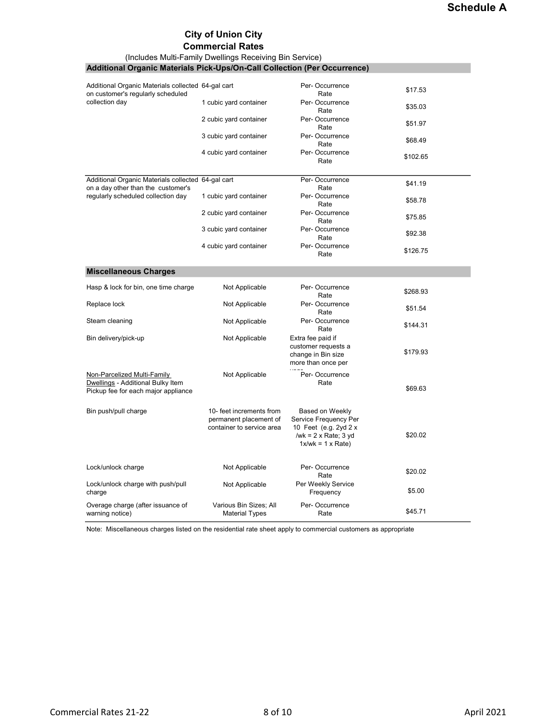#### Commercial Rates

(Includes Multi-Family Dwellings Receiving Bin Service)

| <b>Additional Organic Materials Pick-Ups/On-Call Collection (Per Occurrence)</b>                        |                                                                                 |                                                                                                                       |          |
|---------------------------------------------------------------------------------------------------------|---------------------------------------------------------------------------------|-----------------------------------------------------------------------------------------------------------------------|----------|
|                                                                                                         |                                                                                 |                                                                                                                       |          |
| Additional Organic Materials collected 64-gal cart<br>on customer's regularly scheduled                 |                                                                                 | Per-Occurrence<br>Rate                                                                                                | \$17.53  |
| collection day                                                                                          | 1 cubic yard container                                                          | Per-Occurrence<br>Rate                                                                                                | \$35.03  |
|                                                                                                         | 2 cubic yard container                                                          | Per-Occurrence<br>Rate                                                                                                | \$51.97  |
|                                                                                                         | 3 cubic yard container                                                          | Per-Occurrence<br>Rate                                                                                                | \$68.49  |
|                                                                                                         | 4 cubic yard container                                                          | Per-Occurrence<br>Rate                                                                                                | \$102.65 |
| Additional Organic Materials collected 64-gal cart<br>on a day other than the customer's                |                                                                                 | Per-Occurrence<br>Rate                                                                                                | \$41.19  |
| regularly scheduled collection day                                                                      | 1 cubic yard container                                                          | Per-Occurrence<br>Rate                                                                                                | \$58.78  |
|                                                                                                         | 2 cubic yard container                                                          | Per-Occurrence<br>Rate                                                                                                | \$75.85  |
|                                                                                                         | 3 cubic yard container                                                          | Per-Occurrence<br>Rate                                                                                                | \$92.38  |
|                                                                                                         | 4 cubic yard container                                                          | Per-Occurrence<br>Rate                                                                                                | \$126.75 |
| <b>Miscellaneous Charges</b>                                                                            |                                                                                 |                                                                                                                       |          |
| Hasp & lock for bin, one time charge                                                                    | Not Applicable                                                                  | Per-Occurrence<br>Rate                                                                                                | \$268.93 |
| Replace lock                                                                                            | Not Applicable                                                                  | Per-Occurrence<br>Rate                                                                                                | \$51.54  |
| Steam cleaning                                                                                          | Not Applicable                                                                  | Per-Occurrence<br>Rate                                                                                                | \$144.31 |
| Bin delivery/pick-up                                                                                    | Not Applicable                                                                  | Extra fee paid if<br>customer requests a<br>change in Bin size<br>more than once per                                  | \$179.93 |
| Non-Parcelized Multi-Family<br>Dwellings - Additional Bulky Item<br>Pickup fee for each major appliance | Not Applicable                                                                  | Per-Occurrence<br>Rate                                                                                                | \$69.63  |
| Bin push/pull charge                                                                                    | 10- feet increments from<br>permanent placement of<br>container to service area | Based on Weekly<br>Service Frequency Per<br>10 Feet (e.g. 2yd 2 x<br>/wk = $2 \times$ Rate; 3 yd<br>$1x/wk = 1x Rate$ | \$20.02  |
| Lock/unlock charge                                                                                      | Not Applicable                                                                  | Per-Occurrence<br>Rate                                                                                                | \$20.02  |
| Lock/unlock charge with push/pull<br>charge                                                             | Not Applicable                                                                  | Per Weekly Service<br>Frequency                                                                                       | \$5.00   |
| Overage charge (after issuance of<br>warning notice)                                                    | Various Bin Sizes; All<br><b>Material Types</b>                                 | Per-Occurrence<br>Rate                                                                                                | \$45.71  |

Note: Miscellaneous charges listed on the residential rate sheet apply to commercial customers as appropriate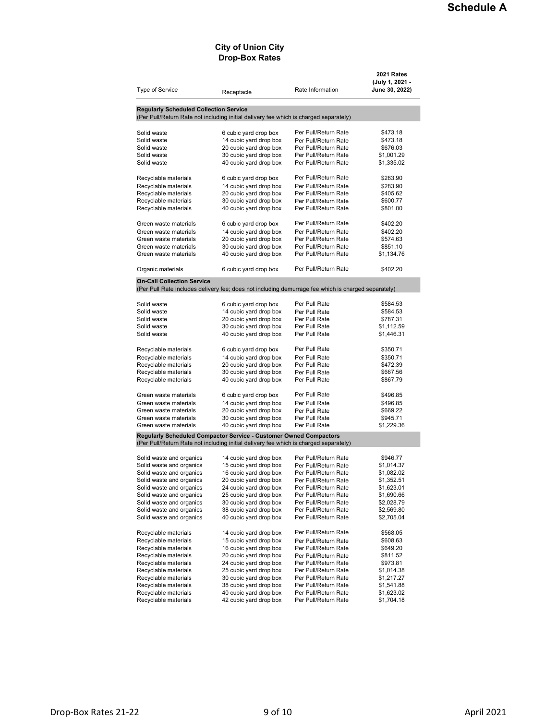#### City of Union City Drop-Box Rates

| <b>Type of Service</b>                                                                                                                                     | Receptacle                                       | Rate Information                             | <b>2021 Rates</b><br>(July 1, 2021 -<br>June 30, 2022) |
|------------------------------------------------------------------------------------------------------------------------------------------------------------|--------------------------------------------------|----------------------------------------------|--------------------------------------------------------|
| <b>Regularly Scheduled Collection Service</b>                                                                                                              |                                                  |                                              |                                                        |
| (Per Pull/Return Rate not including initial delivery fee which is charged separately)                                                                      |                                                  |                                              |                                                        |
| Solid waste                                                                                                                                                | 6 cubic yard drop box                            | Per Pull/Return Rate                         | \$473.18                                               |
| Solid waste                                                                                                                                                | 14 cubic yard drop box                           | Per Pull/Return Rate                         | \$473.18                                               |
| Solid waste                                                                                                                                                | 20 cubic yard drop box                           | Per Pull/Return Rate                         | \$676.03                                               |
| Solid waste                                                                                                                                                | 30 cubic yard drop box                           | Per Pull/Return Rate                         | \$1,001.29                                             |
| Solid waste                                                                                                                                                | 40 cubic yard drop box                           | Per Pull/Return Rate                         | \$1,335.02                                             |
| Recyclable materials                                                                                                                                       | 6 cubic yard drop box                            | Per Pull/Return Rate                         | \$283.90                                               |
| Recyclable materials                                                                                                                                       | 14 cubic yard drop box                           | Per Pull/Return Rate                         | \$283.90                                               |
| Recyclable materials                                                                                                                                       | 20 cubic yard drop box                           | Per Pull/Return Rate                         | \$405.62                                               |
| Recyclable materials                                                                                                                                       | 30 cubic yard drop box                           | Per Pull/Return Rate                         | \$600.77                                               |
| Recyclable materials                                                                                                                                       | 40 cubic yard drop box                           | Per Pull/Return Rate                         | \$801.00                                               |
| Green waste materials                                                                                                                                      | 6 cubic yard drop box                            | Per Pull/Return Rate                         | \$402.20                                               |
| Green waste materials                                                                                                                                      | 14 cubic yard drop box                           | Per Pull/Return Rate                         | \$402.20                                               |
| Green waste materials                                                                                                                                      | 20 cubic yard drop box                           | Per Pull/Return Rate                         | \$574.63                                               |
| Green waste materials                                                                                                                                      | 30 cubic yard drop box                           | Per Pull/Return Rate                         | \$851.10                                               |
| Green waste materials                                                                                                                                      | 40 cubic yard drop box                           | Per Pull/Return Rate                         | \$1,134.76                                             |
| Organic materials                                                                                                                                          | 6 cubic yard drop box                            | Per Pull/Return Rate                         | \$402.20                                               |
| <b>On-Call Collection Service</b>                                                                                                                          |                                                  |                                              |                                                        |
| (Per Pull Rate includes delivery fee; does not including demurrage fee which is charged separately)                                                        |                                                  |                                              |                                                        |
| Solid waste                                                                                                                                                | 6 cubic yard drop box                            | Per Pull Rate                                | \$584.53                                               |
| Solid waste                                                                                                                                                | 14 cubic yard drop box                           | Per Pull Rate                                | \$584.53                                               |
| Solid waste                                                                                                                                                | 20 cubic yard drop box                           | Per Pull Rate                                | \$787.31                                               |
| Solid waste                                                                                                                                                | 30 cubic yard drop box                           | Per Pull Rate                                | \$1,112.59                                             |
| Solid waste                                                                                                                                                | 40 cubic yard drop box                           | Per Pull Rate                                | \$1,446.31                                             |
| Recyclable materials                                                                                                                                       | 6 cubic yard drop box                            | Per Pull Rate                                | \$350.71                                               |
| Recyclable materials                                                                                                                                       | 14 cubic yard drop box                           | Per Pull Rate                                | \$350.71                                               |
| Recyclable materials                                                                                                                                       | 20 cubic yard drop box                           | Per Pull Rate                                | \$472.39                                               |
| Recyclable materials                                                                                                                                       | 30 cubic yard drop box                           | Per Pull Rate                                | \$667.56                                               |
| Recyclable materials                                                                                                                                       | 40 cubic yard drop box                           | Per Pull Rate                                | \$867.79                                               |
| Green waste materials                                                                                                                                      | 6 cubic yard drop box                            | Per Pull Rate                                | \$496.85                                               |
| Green waste materials                                                                                                                                      | 14 cubic yard drop box                           | Per Pull Rate                                | \$496.85                                               |
| Green waste materials                                                                                                                                      | 20 cubic yard drop box                           | Per Pull Rate                                | \$669.22                                               |
| Green waste materials                                                                                                                                      | 30 cubic yard drop box                           | Per Pull Rate                                | \$945.71                                               |
| Green waste materials                                                                                                                                      | 40 cubic yard drop box                           | Per Pull Rate                                | \$1,229.36                                             |
| Regularly Scheduled Compactor Service - Customer Owned Compactors<br>(Per Pull/Return Rate not including initial delivery fee which is charged separately) |                                                  |                                              |                                                        |
|                                                                                                                                                            |                                                  |                                              |                                                        |
| Solid waste and organics                                                                                                                                   | 14 cubic yard drop box                           | Per Pull/Return Rate                         | \$946.77                                               |
| Solid waste and organics                                                                                                                                   | 15 cubic yard drop box                           | Per Pull/Return Rate                         | \$1,014.37                                             |
| Solid waste and organics                                                                                                                                   | 16 cubic yard drop box                           | Per Pull/Return Rate                         | \$1,082.02                                             |
| Solid waste and organics                                                                                                                                   | 20 cubic yard drop box                           | Per Pull/Return Rate                         | \$1,352.51                                             |
| Solid waste and organics<br>Solid waste and organics                                                                                                       | 24 cubic yard drop box<br>25 cubic yard drop box | Per Pull/Return Rate                         | \$1,623.01<br>\$1,690.66                               |
| Solid waste and organics                                                                                                                                   | 30 cubic yard drop box                           | Per Pull/Return Rate<br>Per Pull/Return Rate | \$2,028.79                                             |
| Solid waste and organics                                                                                                                                   | 38 cubic yard drop box                           | Per Pull/Return Rate                         | \$2,569.80                                             |
| Solid waste and organics                                                                                                                                   | 40 cubic yard drop box                           | Per Pull/Return Rate                         | \$2,705.04                                             |
|                                                                                                                                                            |                                                  |                                              |                                                        |
| Recyclable materials                                                                                                                                       | 14 cubic yard drop box                           | Per Pull/Return Rate                         | \$568.05                                               |
| Recyclable materials                                                                                                                                       | 15 cubic yard drop box                           | Per Pull/Return Rate                         | \$608.63                                               |
| Recyclable materials                                                                                                                                       | 16 cubic yard drop box                           | Per Pull/Return Rate                         | \$649.20                                               |
| Recyclable materials                                                                                                                                       | 20 cubic yard drop box                           | Per Pull/Return Rate                         | \$811.52                                               |
| Recyclable materials                                                                                                                                       | 24 cubic yard drop box<br>25 cubic yard drop box | Per Pull/Return Rate                         | \$973.81<br>\$1,014.38                                 |
| Recyclable materials<br>Recyclable materials                                                                                                               | 30 cubic yard drop box                           | Per Pull/Return Rate<br>Per Pull/Return Rate | \$1,217.27                                             |
| Recyclable materials                                                                                                                                       | 38 cubic yard drop box                           | Per Pull/Return Rate                         | \$1,541.88                                             |
| Recyclable materials                                                                                                                                       | 40 cubic yard drop box                           | Per Pull/Return Rate                         | \$1,623.02                                             |
| Recyclable materials                                                                                                                                       | 42 cubic yard drop box                           | Per Pull/Return Rate                         | \$1,704.18                                             |
|                                                                                                                                                            |                                                  |                                              |                                                        |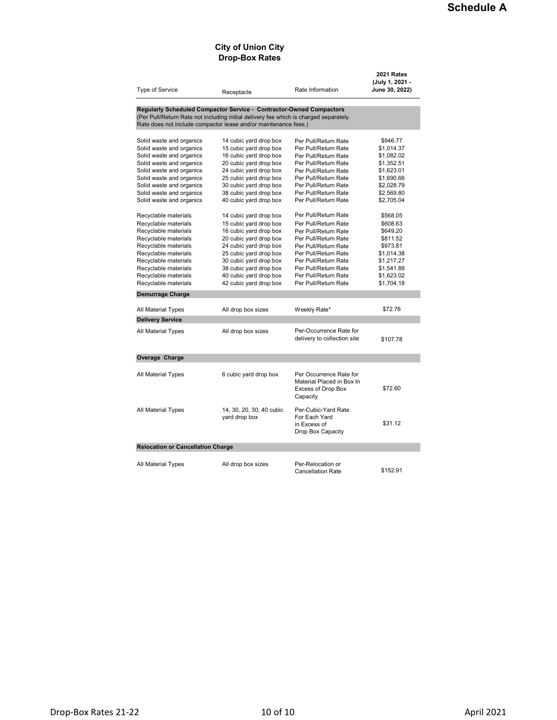#### City of Union City Drop-Box Rates

| <b>Type of Service</b>                                                                                                                                   | Receptacle                                       | Rate Information                                                                       | 2021 Rates<br>(July 1, 2021 -<br>June 30, 2022) |  |
|----------------------------------------------------------------------------------------------------------------------------------------------------------|--------------------------------------------------|----------------------------------------------------------------------------------------|-------------------------------------------------|--|
| Regularly Scheduled Compactor Service - Contractor-Owned Compactors                                                                                      |                                                  |                                                                                        |                                                 |  |
| (Per Pull/Return Rate not including initial delivery fee which is charged separately.<br>Rate does not include compactor lease and/or maintenance fees.) |                                                  |                                                                                        |                                                 |  |
|                                                                                                                                                          |                                                  |                                                                                        |                                                 |  |
| Solid waste and organics<br>Solid waste and organics                                                                                                     | 14 cubic yard drop box<br>15 cubic yard drop box | Per Pull/Return Rate<br>Per Pull/Return Rate                                           | \$946.77<br>\$1,014.37                          |  |
| Solid waste and organics                                                                                                                                 | 16 cubic yard drop box                           | Per Pull/Return Rate                                                                   | \$1,082.02                                      |  |
| Solid waste and organics                                                                                                                                 | 20 cubic yard drop box                           | Per Pull/Return Rate                                                                   | \$1,352.51                                      |  |
| Solid waste and organics                                                                                                                                 | 24 cubic yard drop box                           | Per Pull/Return Rate                                                                   | \$1,623.01                                      |  |
| Solid waste and organics                                                                                                                                 | 25 cubic yard drop box                           | Per Pull/Return Rate                                                                   | \$1,690.66                                      |  |
| Solid waste and organics                                                                                                                                 | 30 cubic yard drop box                           | Per Pull/Return Rate                                                                   | \$2,028.79                                      |  |
| Solid waste and organics                                                                                                                                 | 38 cubic yard drop box                           | Per Pull/Return Rate                                                                   | \$2,569.80                                      |  |
| Solid waste and organics                                                                                                                                 | 40 cubic yard drop box                           | Per Pull/Return Rate                                                                   | \$2,705.04                                      |  |
| Recyclable materials                                                                                                                                     | 14 cubic yard drop box                           | Per Pull/Return Rate                                                                   | \$568.05                                        |  |
| Recyclable materials                                                                                                                                     | 15 cubic yard drop box                           | Per Pull/Return Rate                                                                   | \$608.63                                        |  |
| Recyclable materials                                                                                                                                     | 16 cubic yard drop box                           | Per Pull/Return Rate                                                                   | \$649.20                                        |  |
| Recyclable materials                                                                                                                                     | 20 cubic yard drop box                           | Per Pull/Return Rate                                                                   | \$811.52                                        |  |
| Recyclable materials                                                                                                                                     | 24 cubic yard drop box                           | Per Pull/Return Rate                                                                   | \$973.81                                        |  |
| Recyclable materials                                                                                                                                     | 25 cubic yard drop box                           | Per Pull/Return Rate                                                                   | \$1,014.38                                      |  |
| Recyclable materials                                                                                                                                     | 30 cubic yard drop box                           | Per Pull/Return Rate                                                                   | \$1,217.27                                      |  |
| Recyclable materials                                                                                                                                     | 38 cubic yard drop box                           | Per Pull/Return Rate                                                                   | \$1,541.88                                      |  |
| Recvclable materials<br>Recyclable materials                                                                                                             | 40 cubic yard drop box<br>42 cubic yard drop box | Per Pull/Return Rate<br>Per Pull/Return Rate                                           | \$1,623.02<br>\$1,704.18                        |  |
| <b>Demurrage Charge</b>                                                                                                                                  |                                                  |                                                                                        |                                                 |  |
| All Material Types                                                                                                                                       | All drop box sizes                               | Weekly Rate*                                                                           | \$72.76                                         |  |
| <b>Delivery Service</b>                                                                                                                                  |                                                  |                                                                                        |                                                 |  |
|                                                                                                                                                          |                                                  |                                                                                        |                                                 |  |
| All Material Types                                                                                                                                       | All drop box sizes                               | Per-Occurrence Rate for<br>delivery to collection site                                 | \$107.78                                        |  |
| Overage Charge                                                                                                                                           |                                                  |                                                                                        |                                                 |  |
|                                                                                                                                                          |                                                  |                                                                                        |                                                 |  |
| All Material Types                                                                                                                                       | 6 cubic yard drop box                            | Per Occurrence Rate for<br>Material Placed in Box In<br>Excess of Drop Box<br>Capacity | \$72.60                                         |  |
| All Material Types                                                                                                                                       | 14, 30, 20, 30, 40 cubic<br>yard drop box        | Per-Cubic-Yard Rate<br>For Each Yard<br>in Excess of<br>Drop Box Capacity              | \$31.12                                         |  |
| <b>Relocation or Cancellation Charge</b>                                                                                                                 |                                                  |                                                                                        |                                                 |  |
| All Material Types                                                                                                                                       | All drop box sizes                               | Per-Relocation or<br><b>Cancellation Rate</b>                                          | \$152.91                                        |  |